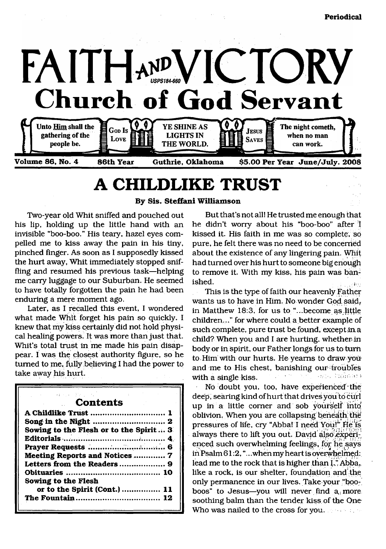

## **A CHILDLIKE TRUST**

**By Sis. Steffani Williamson**

Two-year old Whit sniffed and pouched out his lip, holding up the little hand with an invisible "boo-boo." His teary, hazel eyes compelled me to kiss away the pain in his tiny, pinched finger. As soon as I supposedly kissed the hurt away, Whit immediately stopped sniffling and resumed his previous task—helping me carry luggage to our Suburban. He seemed to have totally forgotten the pain he had been enduring a mere moment ago.

Later, as I recalled this event, I wondered what made Whit forget his pain so quickly. I knew that my kiss certainly did not hold physical healing powers. It was more than just that. Whit's total trust in me made his pain disappear. I was the closest authority figure, so he turned to me, fully believing I had the power to take away his hurt.

| 医心包的 医神经病 建氯化物 医阿尔伯氏征                  |
|----------------------------------------|
| <b>Contents</b>                        |
| A Childlike Trust  1                   |
|                                        |
| Sowing to the Flesh or to the Spirit 3 |
|                                        |
|                                        |
| <b>Meeting Reports and Notices  7</b>  |
|                                        |
|                                        |
| Sowing to the Flesh                    |
| or to the Spirit (Cont.)  11           |
|                                        |
|                                        |

But that's not all! He trusted me enough that he didn't worry about his "boo-boo" after I kissed it. His faith in me was so complete, so pure, he felt there was no need to be concerned about the existence of any lingering pain. Whit had turned over his hurt to someone big enough to remove it. With my kiss, his pain was banished.

This is the type of faith our heavenly Father wants us to have in Him. No wonder God said, in Matthew 18:3, for us to "...become qs little children..." for where could a better example of such complete, pure trust be found, except in a child? When you and I are hurting, whether in body or in spirit, our Father longs for us to turn to. Him with our hurts. He yearns to draw you and me to His chest, banishing our troubles with a single kiss. •

No doubt you, too, have experienced the deep, searing kind of hurt that drives you to curl up in a little comer and sob yourself into oblivion. When you are collapsing beneath; the pressures of life, cry "Abba! I need You!" He'is always there to lift you out. David also experienced such overwhelming feelings, fop he says in Psalm 61:2,".. .when my heart is overwhelmed: lead me to the rock that is higher than I." Abba, like a rock, is our shelter, foundation and the only permanence in our lives. Take your "booboos" to Jesus—you will never find  $a_i$  more soothing balm than the tender kiss of the One Who was nailed to the cross for you.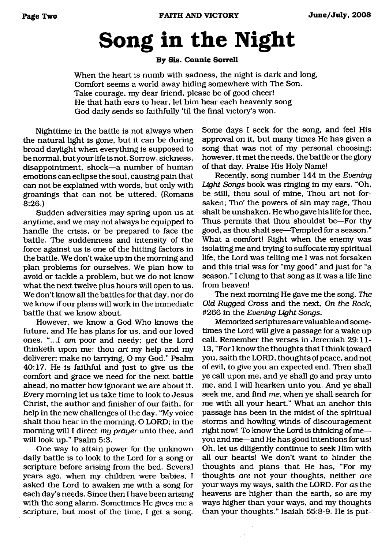# **Song in the Night**

#### **By Sis. Connie Sorrell**

When the heart is numb with sadness, the night is dark and long, Comfort seems a world away hiding somewhere with The Son. Take courage, my dear friend, please be of good cheer! He that hath ears to hear, let him hear each heavenly song God daily sends so faithfully 'til the final victory's won.

Nighttime in the battle is not always when the natural light is gone, but it can be during broad daylight when everything is supposed to be normal, but your life is not. Sorrow, sickness, disappointment, shock—a number of human emotions can eclipse the soul, causing pain that can not be explained with words, but only with groanings that can not be uttered. (Romans 8:26.)

Sudden adversities may spring upon us at anytime, and we may not always be equipped to handle the crisis, or be prepared to face the battle. The suddenness and intensity of the force against us is one of the hitting factors in the battle. We don't wake up in the morning and plan problems for ourselves. We plan how to avoid or tackle a problem, but we do not know what the next twelve plus hours will open to us. We don't know all the battles for that day, nor do we know if our plans will work in the immediate battle that we know about.

However, we know a God Who knows the future, and He has plans for us, and our loved ones. "...I *am* poor and needy; *yet* the Lord thinketh upon me: thou *art* my help and my deliverer; make no tarrying, O my God." Psalm 40:17. He is faithful and just to give us the comfort and grace we need for the next battle ahead, no matter how ignorant we are about it. Every morning let us take time to look to Jesus Christ, the author and finisher of our faith, for help in the new challenges of the day. "My voice shalt thou hear in the morning, O LORD; in the morning will I direct *my prayer* unto thee, and will look up." Psalm 5:3.

One way to attain power for the unknown daily battle is to look to the Lord for a song or scripture before arising from the bed. Several years ago, when my children were babies, I asked the Lord to awaken me with a song for each day's needs. Since then I have been arising with the song alarm. Sometimes He gives me a scripture, but most of the time, I get a song.

Some days I seek for the song, and feel His approval on it, but many times He has given a song that was not of my personal choosing; however, it met the needs, the battle or the glory of that day. Praise His Holy Name!

Recently, song number 144 in the *Evening Light Songs* book was ringing in my ears. "Oh, be still, thou soul of mine, Thou art not forsaken; Tho' the powers of sin may rage, Thou shalt be unshaken. He who gave his life for thee, Thus permits that thou shouldst be—For thy good, as thou shalt see—Tempted for a season." What a comfort! Right when the enemy was isolating me and trying to suffocate my spiritual life, the Lord was telling me I was not forsaken and this trial was for "my good" and just for "a season." I clung to that song as it was a life line from heaven!

The next morning He gave me the song, *The Old Rugged Cross* and the next, *On the Rock,* #266 in the *Evening Light Songs.*

Memorized scriptures are valuable and sometimes the Lord will give a passage for a wake up call. Remember the verses in Jeremiah 29:11- 13, "For I know the thoughts that I think toward you, saith the LORD, thoughts of peace, and not of evil, to give you an expected end. Then shall ye call upon me, and ye shall go and pray unto me, and I will hearken unto you. And ye shall seek me, and find *me,* when ye shall search for me with all your heart." What an anchor this passage has been in the midst of the spiritual storms and howling winds of discouragement right now! To know the Lord is thinking of me you and me—and He has good intentions for us! Oh, let us diligently continue to seek Him with all our hearts! We don't want to hinder the thoughts and plans that He has, "For my thoughts *are* not your thoughts, neither *are* your ways my ways, saith the LORD. For *as* the heavens are higher than the earth, so are my ways higher than your ways, and my thoughts than your thoughts." Isaiah 55:8-9. He is put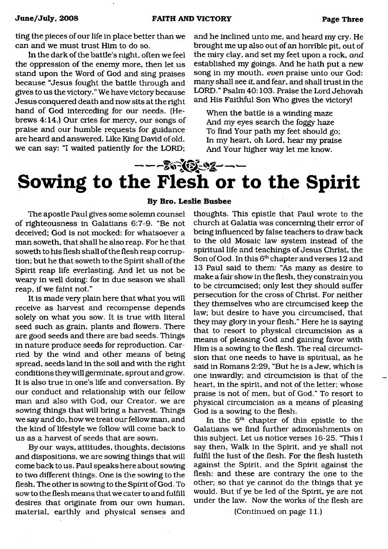ting the pieces of our life in place better than we can and we must trust Him to do so.

In the dark of the battle's night, often we feel the oppression of the enemy more, then let us stand upon the Word of God and sing praises because "Jesus fought the battle through and gives to us the victory." We have victory because Jesus conquered death and now sits at the right hand of God interceding for our needs. (Hebrews 4:14.) Our cries for mercy, our songs of praise and our humble requests for guidance are heard and answered. Like King David of old, we can say: "I waited patiently for the LORD;

and he inclined unto me, and heard my cry. He brought me up also out of an horrible pit, out of the miry clay, and set my feet upon a rock, *and* established my goings. And he hath put a new song in my mouth, *even* praise unto our God: many shall see *it*, and fear, and shall trust in the LORD." Psalm 40:103. Praise the Lord Jehovah and His Faithful Son Who gives the victory!

When the battle is a winding maze And my eyes search the foggy haze To find Your path my feet should go; In my heart, oh Lord, hear my praise And Your higher way let me know.

## ---お演じゅ---**Sowing to the Flesh or to the Spirit**

The apostle Paul gives some solemn counsel of righteousness in Galatians 6:7-9. "Be not deceived; God is not mocked: for whatsoever a man soweth, that shall he also reap. For he that soweth to his flesh shall of the flesh reap corruption; but he that soweth to the Spirit shall of the Spirit reap life everlasting. And let us not be weary in well doing: for in due season we shall reap, if we faint not."

It is made very plain here that what you will receive as harvest and recompense depends solely on what you sow. It is true with literal seed such as grain, plants and flowers. There are good seeds and there are bad seeds. Things in nature produce seeds for reproduction. Carried by the wind and other means of being spread, seeds land in the soil and with the right conditions they will germinate, sprout and grow. It is also true in one's life and conversation. By our conduct and relationship with our fellow man and also with God, our Creator, we are sowing things that will bring a harvest. Things we say and do, how we treat our fellow man, and the kind of lifestyle we follow will come back to us as a harvest of seeds that are sown.

By our ways, attitudes, thoughts, decisions and dispositions, we are sowing things that will come back to us. Paul speaks here about sowing to two different things. One is the sowing to the flesh. The other is sowing to the Spirit of God. To sow to the flesh means that we cater to and fulfill desires that originate from our own human, material, earthly and physical senses and

## **By Bro. Leslie Busbee**

thoughts. This epistle that Paul wrote to the church at Galatia was concerning their error of being influenced by false teachers to draw back to the old Mosaic law system instead of the spiritual life and teachings of Jesus Christ, the Son of God. In this 6<sup>th</sup> chapter and verses 12 and 13 Paul said to them: "As many as desire to make a fair show in the flesh, they constrain you to be circumcised; only lest they should suffer persecution for the cross of Christ. For neither they themselves who are circumcised keep the law; but desire to have you circumcised, that they may glory in your flesh." Here he is saying that to resort to physical circumcision as a means of pleasing God and gaining favor with Him is a sowing to the flesh. The real circumcision that one needs to have is spiritual, as he said in Romans 2:29, "But he is a Jew, which is one inwardly; and circumcision is that of the heart, in the spirit, and not of the letter; whose praise is not of men, but of God." To resort to physical circumcision as a means of pleasing God is a sowing to the flesh.

In the 5<sup>th</sup> chapter of this epistle to the Galatians we find further admonishments on this subject. Let us notice verses 16-25. "This I say then, Walk in the Spirit, and ye shall not fulfil the lust of the flesh. For the flesh lusteth against the Spirit, and the Spirit against the flesh: and these are contrary the one to the other; so that ye cannot do the things that ye would. But if ye be led of the Spirit, ye are not under the law. Now the works of the flesh are

(Continued on page 11.)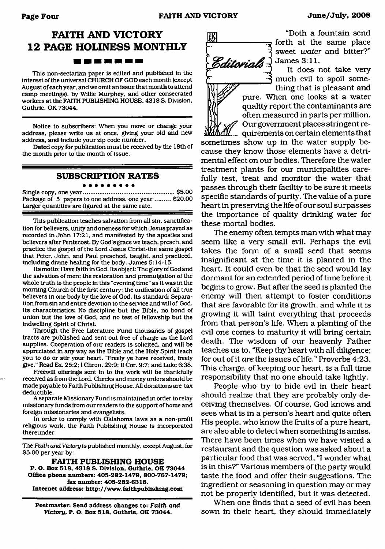## **FAITH AND VICTORY 12 PAGE HOLINESS MONTHLY** <u> 1958 - 1961 - 1962 - 1972 - 1972 - 1973 - 1974 - 1975 - 1976 - 1977 - 1977 - 1977 - 1977 - 1977 - 1977 - 197</u>

This non-sectarian paper is edited and published in the interest of the universal CHURCH OF GOD each month (except August of each year, and we omit an Issue that month to attend camp meetings), by Willie Murphey, and other consecrated workers at the FAITH PUBLISHING HOUSE, 4318 S. Division, Guthrie, OK 73044.

Notice to subscribers: When you move or change your address, please write us at once, giving your old and new address, and Include your zip code number.

Dated copy for publication must be received by the 18th of the month prior to the month of issue.

## **SUBSCRIPTION RATES**

Single copy, one year......................................................\$5.00 Package of 5 papers to one address, one year ......... \$20.00 Larger quantities are figured at the same rate.

This publication teaches salvation from all sin, sanctification for believers, unity and oneness for which Jesus prayed as recorded in John 17:21, and manifested by the apostles and believers after Pentecost. By God's grace we teach, preach, and practice the gospel of the Lord Jesus Christ-the same gospel that Peter, John, and Paul preached, taught, and practiced, including divine healing for the body. James 5:14-15.

Its motto: Have faith in God. Its object: The glory of God and the salvation of men; the restoration and promulgation of the whole truth to the people in this "evening time" as it was in the morning Church of the first century: the unification of all true believers in one body by the love of God. Its standard: Separation from sin and entire devotion to the service and will of God. Its charactertstics: No discipline but the Bible, no bond of union but the love of God, and no test of fellowship but the indwelling Spirit of Christ.

Through the Free Literature Fund thousands of gospel tracts are published and sent out free of charge as the Lord supplies. Cooperation of our readers is solicited, and will be appreciated in any way as the Bible and the Holy Spirit teach you to do or stir your heart. "Freely ye have received, freely give." Read Ex. 25:2; I Chron. 29:9: II Cor. 9:7; and Luke 6:38.

Freewill offerings sent in to the work will be thankfully received as from the Lord. Checks and money orders should be made payable to Faith Publishing House. All donations are tax deductible.

A separate Missionary Fund is maintained in order to relay missionary funds from our readers to the support of home and foreign missionaries and evangelists.

In order to comply with Oklahoma laws as a non-profit religious work, the Faith Publishing House is incorporated thereunder.

The *Faith and. Victory* is published monthly, except August, for \$5.00 per year by:

**FAITH PUBLISHING HOUSE P. O. Box 518, 4318 S. Division. Guthrie, OK 73044 Office phone numbers: 405-282-1479, 800-767-1479; fax number: 405-282-6318. Internet address: <http://www.faithpublishing.com>**

**Postmaster: Send address changes to:** *Faith and Victory,* **P. O. Box 518, Guthrie. OK 73044.**



"Doth a fountain send forth at the same place sweet *water* and bitter?" James 3:11.

It does not take very much evil to spoil something that is pleasant and pure. When one looks at a water quality report the contaminants are often measured in parts per million. Our government places stringent re-

 $d\mathcal{U}_{\dots}$  quirements on certain elements that sometimes show up in the water supply because they know those elements have a detrimental effect on our bodies. Therefore the water treatment plants for our municipalities carefully test, treat and monitor the water that passes through their facility to be sure it meets specific standards of purity. The value of a pure heart in preserving the life of our soul surpasses the importance of quality drinking water for these mortal bodies.

The enemy often tempts man with what may seem like a very small evil. Perhaps the evil takes the form of a small seed that seems insignificant at the time it is planted in the heart. It could even be that the seed would lay dormant for an extended period of time before it begins to grow. But after the seed is planted the enemy will then attempt to foster conditions that are favorable for its growth, and while it is growing it will taint everything that proceeds from that person's life. When a planting of the evil one comes to maturity it will bring certain death. The wisdom of our heavenly Father teaches us to, "Keep thy heart with all diligence; for out of it *are* the issues of life." Proverbs 4:23. This charge, of keeping our heart, is a full time responsibility that no one should take lightly.

People who try to hide evil in their heart should realize that they are probably only deceiving themselves. Of course, God knows and sees what is in a person's heart and quite often His people, who know the fruits of a pure heart, are also able to detect when something is amiss. There have been times when we have visited a restaurant and the question was asked about a particular food that was served, "I wonder what is in this?" Various members of the party would taste the food and offer their suggestions. The ingredient or seasoning in question may or may not be properly identified, but it was detected.

When one finds that a seed of evil has been sown in their heart, they should immediately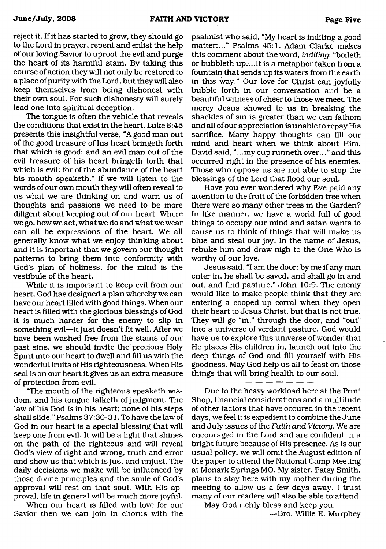reject it. If it has started to grow, they should go to the Lord in prayer, repent and enlist the help of our loving Savior to uproot the evil and purge the heart of its harmful stain. By taking this course of action they will not only be restored to a place of purity with the Lord, but they will also keep themselves from being dishonest with their own soul. For such dishonesty will surely lead one into spiritual deception.

The tongue is often the vehicle that reveals the conditions that exist in the heart. Luke 6:45 presents this insightful verse, "A good man out of the good treasure of his heart bringeth forth that which is good; and an evil man out of the evil treasure of his heart bringeth forth that which is evil: for of the abundance of the heart his mouth speaketh." If we will listen to the words of our own mouth they will often reveal to us what we are thinking on and warn us of thoughts and passions we need to be more diligent about keeping out of our heart. Where we go, how we act, what we do and what we wear can all be expressions of the heart. We all generally know what we enjoy thinking about and it is important that we govern our thought patterns to bring them into conformity with God's plan of holiness, for the mind is the vestibule of the heart.

While it is important to keep evil from our heart, God has designed a plan whereby we can have our heart filled with good things. When our heart is filled with the glorious blessings of God it is much harder for the enemy to slip in something evil—it just doesn't fit well. After we have been washed free from the stains of our past sins, we should invite the precious Holy Spirit into our heart to dwell and fill us with the wonderful fruits of His righteousness. When His seal is on our heart it gives us an extra measure of protection from evil.

"The mouth of the righteous speaketh wisdom, and his tongue talketh of judgment. The law of his God *is* in his heart; none of his steps shall slide." Psalms 37:30-31. To have the law of God in our heart is a special blessing that will keep one from evil. It will be a light that shines on the path of the righteous and will reveal God's view of right and wrong, truth and error and show us that which is just and unjust. The daily decisions we make will be influenced by those divine principles and the smile of God's approval will rest on that soul. With His approval, life in general will be much more joyful.

When our heart is filled with love for our Savior then we can join in chorus with the psalmist who said, "My heart is inditing a good matter:..." Psalms 45:1. Adam Clarke makes this comment about the word, *inditing*: "boileth or bubbleth up....It is a metaphor taken from a fountain that sends up its waters from the earth in this way." Our love for Christ can joyfully bubble forth in our conversation and be a beautiful witness of cheer to those we meet. The mercy Jesus showed to us in breaking the shackles of sin is greater than we can fathom and all of our appreciation is unable to repay His sacrifice. Many happy thoughts can fill our mind and heart when we think about Him. David said, ".. .my cup runneth over..." and this occurred right in the presence of his enemies. Those who oppose us are not able to stop the blessings of the Lord that flood our soul.

Have you ever wondered why Eve paid any attention to the fruit of the forbidden tree when there were so many other trees in the Garden? In like manner, we have a world full of good things to occupy our mind and satan wants to cause us to think of things that will make us blue and steal our joy. In the name of Jesus, rebuke him and draw nigh to the One Who is worthy of our love.

Jesus said, "I am the door: by me if any man enter in, he shall be saved, and shall go in and out, and find pasture." John 10:9. The enemy would like to make people think that they are entering a cooped-up corral when they open their heart to Jesus Christ, but that is not true. They will go "in," through the door, and "out" into a universe of verdant pasture. God would have us to explore this universe of wonder that He places His children in, launch out into the deep things of God and fill yourself with His goodness. May God help us all to feast on those things that will bring health to our soul.

Due to the heavy workload here at the Print Shop, financial considerations and a multitude of other factors that have occured in the recent days, we feel it is expedient to combine the June and July issues of the *Faith and Victonj.* We are encouraged in the Lord and are confident in a bright future because of His presence. As is our usual policy, we will omit the August edition of the paper to attend the National Camp Meeting at Monark Springs MO. My sister, Patsy Smith, plans to stay here with my mother during the meeting to allow us a few days away. I trust many of our readers will also be able to attend.

May God richly bless and keep you. —Bro. Willie E. Murphey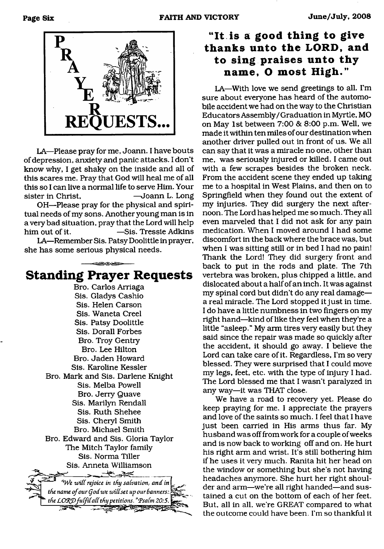

LA—Please pray for me, Joann. I have bouts of depression, anxiety and panic attacks. I don't know why, I get shaky on the inside and all of this scares me. Pray that God will heal me of all this so I can live a normal life to serve Him. Your sister in Christ. — Joann L. Long

OH—Please pray for the physical and spiritual needs of my sons. Another young man is in a very bad situation, pray that the Lord will help him out of it. — Sis. Tressie Adkins

LA—Remember Sis. Patsy Doolittle in prayer, she has some serious physical needs.

## **Standing Prayer Requests**

Bro. Carlos Arriaga Sis. Gladys Cashio Sis. Helen Carson Sis. Waneta Creel Sis. Patsy Doolittle Sis. Dorall Forbes Bro. Troy Gentry Bro. Lee Hilton Bro. Jaden Howard Sis. Karoline Kessler Bro. Mark and Sis. Darlene Knight Sis. Melba Powell Bro. Jerry Quave Sis. Marilyn Rendall Sis. Ruth Shehee Sis. Cheryl Smith Bro. Michael Smith Bro. Edward and Sis. Gloria Taylor The Mitch Taylor family Sis. Norma Tiller Sis. Anneta Williamson  $-25.25$ *"We will rejoice in thy salvation, and in* the name of our God we will set up our banners: *the LORD fulfil all thy petitions." Psalm 20:5.* 

## "It is a good thing to give **thanks unto the LORD, and to sing praises unto thy** name. O most High."

LA—With love we send greetings to all. I'm sure about everyone has heard of the automobile accident we had on the way to the Christian Educators Assembly/Graduation in Myrtle, MO on May 1st between 7:00 & 8:00 p.m. Well, we made it within ten miles of our destination when another driver pulled out in front of us. We all can say that it was a miracle no one, other than me, was seriously injured or killed. I came out with a few scrapes besides the broken neck. From the accident scene they ended up taking me to a hospital in West Plains, and then on to Springfield when they found out the extent of my injuries. They did surgery the next afternoon. The Lord has helped me so much. They all even marveled that I did not ask for any pain medication. When I moved around I had some discomfort in the back where the brace was, but when I was sitting still or in bed I had no pain! Thank the Lord! They did surgery front and back to put in the rods and plate. The 7th vertebra was broken, plus chipped a little, and dislocated about a half of an inch. It was against my spinal cord but didn't do any real damage a real miracle. The Lord stopped it just in time. I do have a little numbness in two fingers on my right hand—kind of like they feel when they're a little "asleep." My arm tires very easily but they said since the repair was made so quickly after the accident, it should go away. I believe the Lord can take care of it. Regardless, I'm so very blessed. They were surprised that I could move my legs, feet, etc. with the type of injury I had. The Lord blessed me that I wasn't paralyzed in any way—it was THAT close.

We have a road to recovery yet. Please do keep praying for me. I appreciate the prayers and love of the saints so much. I feel that I have just been carried in His arms thus far. My husband was off from work for a couple of weeks and is now back to working off and on. He hurt his right arm and wrist. It's still bothering him if he uses it very much. Ranita hit her head on the window or something but she's not having headaches anymore. She hurt her right shoulder and arm—we're all right handed—and sustained a cut on the bottom of each of her feet. But, all in all, we're GREAT compared to what the outcome could have been. I'm so thankful it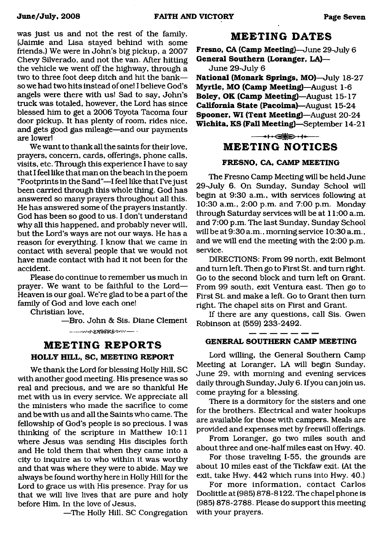was just us and not the rest of the family. (Jaimie and Lisa stayed behind with some friends.) We were in John's big pickup, a 2007 Chevy Silverado, and not the van. After hitting the vehicle we went off the highway, through a two to three foot deep ditch and hit the bank so we had two hits instead of one! I believe God's angels were there with us! Sad to say, John's truck was totaled, however, the Lord has since blessed him to get a 2006 Toyota Tacoma four door pickup. It has plenty of room, rides nice, and gets good gas mileage—and our payments are lower!

We want to thank all the saints for their love, prayers, concern, cards, offerings, phone calls, visits, etc. Through this experience I have to say that I feel like that man on die beach in the poem "Footprints in the Sand"—I feel like that I've just been carried through this whole thing. God has answered so many prayers throughout all this. He has answered some of the prayers instantly. God has been so good to us. I don't understand why all this happened, and probably never will, but the Lord's ways are not our ways. He has a reason for everything. I know that we came in contact with several people that we would not have made contact with had it not been for the accident.

Please do continue to remember us much in prayer. We want to be faithful to the Lord— Heaven is our goal. We're glad to be a part of the family of God and love each one!

Christian love,

—Bro. John & Sis. Diane Clement **----- v . . . 8 TOOK OF W --- .** 

## **MEETING REPORTS HOLLY HILL, SC, MEETING REPORT**

We thank the Lord for blessing Holly Hill, SC with another good meeting. His presence was so real and precious, and we are so thankful He met with us in every service. We appreciate all the ministers who made the sacrifice to come and be with us and all the Saints who came. The fellowship of God's people is so precious. I was thinking of the scripture in Matthew 10:11 where Jesus was sending His disciples forth and He told them that when they came into a city to inquire as to who within it was worthy and that was where they were to abide. May we always be found worthy here in Holly Hill for the Lord to grace us with His presence. Pray for us that we will live lives that are pure and holy before Him. In the love of Jesus,

—The Holly Hill, SC Congregation

### **MEETING DATES**

**Fresno, CA (Camp Meeting)—**June 29-July 6 **General Southern (Loranger, LA)—**

June 29-July 6

**National (Monark Springs, MO)**—July 18-27 **Myrtle, MO (Camp Meeting)**—August 1-6 **Boley, OK (Camp Meeting)**—August 15-17 **California State (Pacoima)**—August 15-24 **Spooner, WI (Tent Meeting)**—August 20-24 **Wichita, KS (Fall Meeting)**—September 14-21

## $\leftrightarrow$ **MEETING NOTICES**

#### **FRESNO, CA, CAMP MEETING**

The Fresno Camp Meeting will be held June 29-July 6. On Sunday, Sunday School will begin at 9:30 a.m., with services following at 10:30 a.m., 2:00 p.m. and 7:00 p.m. Monday through Saturday services will be at 11:00 a.m. and 7:00 p.m. The last Sunday, Sunday School will be at 9:30 a.m., morning service 10:30 a.m., and we will end the meeting with the 2:00 p.m. service.

DIRECTIONS: From 99 north, exit Belmont and turn left. Then go to First St. and turn right. Go to the second block and turn left on Grant. From 99 south, exit Ventura east. Then go to First St. and make a left. Go to Grant then turn right. The chapel sits on First and Grant.

If there are any questions, call Sis. Gwen Robinson at (559) 233-2492.

### **GENERAL SOUTHERN CAMP MEETING**

Lord willing, the General Southern Camp Meeting at Loranger, LA will begin Sunday, June 29, with morning and evening services daily through Sunday, July 6. If you can join us, come praying for a blessing.

There is a dormitory for the sisters and one for the brothers. Electrical and water hookups are available for those with campers. Meals are provided and expenses met by freewill offerings.

From Loranger, go two miles south and about three and one-half miles east on Hwy. 40.

For those traveling 1-55, the grounds are about 10 miles east of the Tickfaw exit. (At the exit, take Hwy. 442 which runs into Hwy. 40.)

For more information, contact Carlos Doolittle at (985) 878-8122. The chapel phone is (985) 878-2788. Please do support this meeting with your prayers.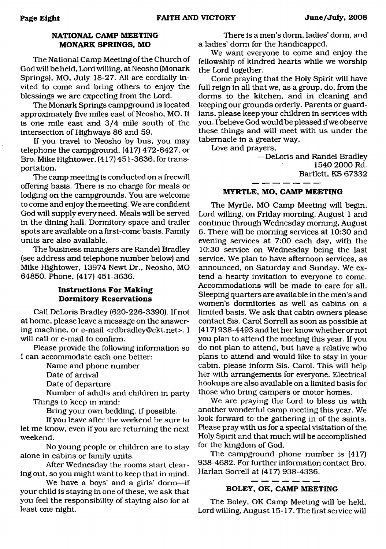#### **NATIONAL CAMP MEETING MONARK SPRINGS, MO**

The National Camp Meeting of the Church of God will be held, Lord willing, at Neosho (Monark Springs), MO, July 18-27. All are cordially invited to come and bring others to enjoy the blessings we are expecting from the Lord.

The Monark Springs campground is located approximately five miles east of Neosho, MO. It is one mile east and 3/4 mile south of the intersection of Highways 86 and 59.

If you travel to Neosho by bus, you may telephone the campground, (417) 472-6427, or Bro. Mike Hightower, (417) 451 -3636, for transportation.

The camp meeting is conducted on a freewill offering basis. There is no charge for meals or lodging on the campgrounds. You are welcome to come and enjoy the meeting. We are confident God will supply every need. Meals will be served in the dining hall. Dormitory space and trailer spots are available on a first-come basis. Family units are also available.

The business managers are Randel Bradley (see address and telephone number below) and Mike Hightower, 13974 Newt Dr., Neosho, MO 64850. Phone, (417) 451-3636.

#### **Instructions For Making Dormitory Reservations**

Call DeLoris Bradley (620-226-3390). If not at home, please leave a message on the answering machine, or e-mail [<rdbradley@ckt.net](mailto:rdbradley@ckt.net)>. I will call or e-mail to confirm.

Please provide the following information so I can accommodate each one better:

Name and phone number

Date of arrival

Date of departure

Number of adults and children in party Things to keep in mind:

Bring your own bedding, if possible.

If you leave after the weekend be sure to let me know, even if you are returning the next weekend.

No young people or children are to stay alone in cabins or family units.

After Wednesday the rooms start clearing out, so you might want to keep that in mind.

We have a boys' and a girls' dorm—if your child is staying in one of these, we ask that you feel the responsibility of staying also for at least one night.

There is a men's dorm, ladies' dorm, and a ladies' dorm for the handicapped.

We want everyone to come and enjoy the fellowship of kindred hearts while we worship the Lord together.

Come praying that the Holy Spirit will have full reign in all that we, as a group, do, from the dorms to the kitchen, and in cleaning and keeping our grounds orderly. Parents or guardians, please keep your children in services with you. I believe God would be pleased if we observe these things and will meet with us under the tabernacle in a greater way.

Love and prayers,

—DeLoris and Randel Bradley 1540 2000 Rd. Bartlett, KS 67332

#### **MYRTLE, MO, CAMP MEETING**

The Myrtle, MO Camp Meeting will begin, Lord willing, on Friday morning, August 1 and continue through Wednesday morning, August 6. There will be morning services at 10:30 and evening services at 7:00 each day, with the 10:30 service on Wednesday being the last service. We plan to have afternoon services, as announced, on Saturday and Sunday. We extend a hearty invitation to everyone to come. Accommodations will be made to care for all. Sleeping quarters are available in the men's and women's dormitories as well as cabins on a limited basis. We ask that cabin owners please contact Sis. Carol Sorrell as soon as possible at (417) 938-4493 and let her know whether or not you plan to attend the meeting this year. If you do not plan to attend, but have a relative who plans to attend and would like to stay in your cabin, please inform Sis. Carol. This will help her with arrangements for everyone. Electrical hookups are also available on a limited basis for those who bring campers or motor homes.

We are praying the Lord to bless us with another wonderful camp meeting this year. We look forward to the gathering in of the saints. Please pray with us for a special visitation of the Holy Spirit and that much will be accomplished for the kingdom of God.

The campground phone number is (417) 938-4682. For further information contact Bro. Harlan Sorrell at (417) 938-4336.

#### **BOLEY, OK, CAMP MEETING**

The Boley, OK Camp Meeting will be held, Lord willing, August 15-17. The first service will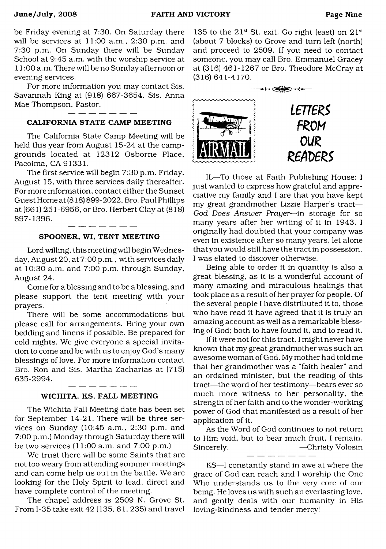be Friday evening at 7:30. On Saturday there will be services at 11:00 a.m., 2:30 p.m. and 7:30 p.m. On Sunday there will be Sunday School at 9:45 a.m. with the worship service at 11:00 a.m. There will be no Sunday afternoon or evening services.

For more information you may contact Sis. Savannah King at (918) 667-3654. Sis. Anna Mae Thompson, Pastor.

#### CALIFORNIA STATE CAMP MEETING

The California State Camp Meeting will be held this year from August 15-24 at the campgrounds located at 12312 Osborne Place. Pacoima, CA 91331.

The first service will begin 7:30 p.m. Friday, August 15, with three services daily thereafter. For more information, contact either the Sunset Guest Home at (818) 899-2022, Bro. Paul Phillips at (661) 251-6956, or Bro. Herbert Clay at (818) 897-1396. -------

#### SPOONER, WI, TENT MEETING

Lord willing, this meeting will begin Wednesday, August 20, at 7:00p.m., with services daily at 10:30 a.m. and 7:00 p.m. through Sunday, August 24.

Come for a blessing and to be a blessing, and please support the tent meeting with your prayers.

There will be some accommodations but please call for arrangements. Bring your own bedding and linens if possible. Be prepared for cold nights. We give everyone a special invitation to come and be with us to enjoy God's many blessings of love. For more information contact Bro. Ron and Sis. Martha Zacharias at (715) 635-2994.

#### WICHITA, KS, FALL MEETING

- - - - - -

The Wichita Fall Meeting date has been set for September 14-21. There will be three services on Sunday (10:45 a.m., 2:30 p.m. and 7:00 p.m.) Monday through Saturday there will be two services (11:00 a.m. and 7:00 p.m.)

We trust there will be some Saints that are not too weary from attending summer meetings and can come help us out in the battle. We are looking for the Holy Spirit to lead, direct and have complete control of the meeting.

The chapel address is 2509 N. Grove St. From 1-35 take exit 42 (135, 81, 235) and travel

135 to the  $21^{st}$  St. exit. Go right (east) on  $21^{st}$ (about 7 blocks) to Grove and turn left (north) and proceed to 2509. If you need to contact someone, you may call Bro. Emmanuel Gracey at (316) 461-1267 or Bro. Theodore McCray at (316) 641-4170.



IL—To those at Faith Publishing House: I just wanted to express how grateful and appreciative my family and I are that you have kept my great grandmother Lizzie Harper's tract— *God Does Answer Prayer*—in storage for so many years after her writing of it in 1943. I originally had doubted that your company was even in existence after so many years, let alone that you would still have the tract in possession. I was elated to discover otherwise.

Being able to order it in quantity is also a great blessing, as it is a wonderful account of many amazing and miraculous healings that took place as a result of her prayer for people. Of the several people I have distributed it to, those who have read it have agreed that it is truly an amazing account as well as a remarkable blessing of God: both to have found it, and to read it.

If it were not for this tract, I might never have known that my great grandmother was such an awesome woman of God. My mother had told me that her grandmother was a "faith healer" and an ordained minister, but the reading of this tract—the word of her testimony—bears ever so much more witness to her personality, the strength of her faith and to the wonder-working power of God that manifested as a result of her application of it.

As the Word of God continues to not return to Him void, but to bear much fruit, I remain, Sincerely,  $\begin{array}{c} -\text{Christy Volosin} \\ -\text{ } -\text{ } -\text{ } -\text{ } -\text{ } -\end{array}$ 

KS—I constantly stand in awe at where the grace of God can reach and I worship the One Who understands us to the very core of our being. He loves us with such an everlasting love, and gently deals with our humanity in His loving-kindness and tender mercy!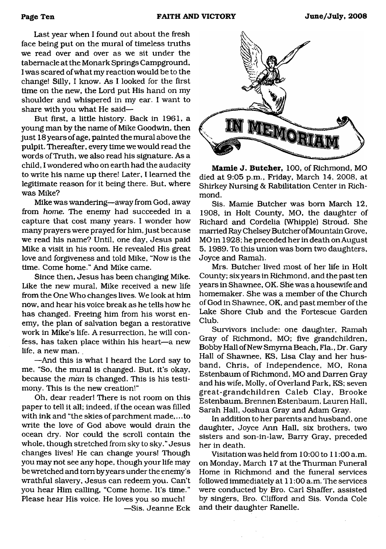Last year when I found out about the fresh face being put on the mural of timeless truths we read over and over as we sit under the tabernacle at the Monark Springs Campground, I was scared of what my reaction would be to the change! Silly, I know. As I looked for the first time on the new, the Lord put His hand on my shoulder and whispered in my ear. I want to share with you what He said—

But first, a little history. Back in 1961, a young man by the name of Mike Goodwin, then just 18 years of age, painted the mural above the pulpit. Thereafter, every time we would read the words of Truth, we also read his signature. As a child, I wondered who on earth had the audacity to write his name up there! Later, I learned the legitimate reason for it being there. But, where was Mike?

Mike was wandering—away from God, away from *home.* The enemy had succeeded in a capture that cost many years. I wonder how many prayers were prayed for him, just because we read his name? Until, one day, Jesus paid Mike a visit in his room. He revealed His great love and forgiveness and told Mike, "Now is the time. Come home." And Mike came.

Since then, Jesus has been changing Mike. Like the new mural, Mike received a new life from the One Who changes lives. We look at him now, and hear his voice break as he tells how he has changed. Freeing him from his worst enemy, the plan of salvation began a restorative work in Mike's life. A resurrection, he will confess, has taken place within his heart—a new life, a new man. .

—And this is what I heard the Lord say to me, "So, the mural is changed. But, it's okay, because the *man* is changed. This is his testimony. This is the new creation!"

Oh, dear reader! There is not room on this paper to tell it all; indeed, if the ocean was filled with ink and "the skies of parchment made,.. .to write the love of God above would drain the ocean dry. Nor could the scroll contain the whole, though stretched from sky to sky." Jesus changes lives! He can change yours! Though you may not see any hope, though your life may be wretched and tom by years under the enemy's wrathful slavery, Jesus can redeem you. Can't you hear Him calling, "Come home. It's time." Please hear His voice. He loves you so much!

—Sis. Jeanne Eck



**Mamie J. Butcher,** 100, of Richmond, MO died at 9:05 p.m., Friday, March 14, 2008, at Shirkey Nursing & Rabilitation Center in Richmond.

Sis. Mamie Butcher was bom March 12, 1908, in Holt County, MO, the daughter of Richard and Cordelia (Whipple) Stroud. She married Ray Chelsey Butcher of Mountain Grove, MO in 1928; he preceded her in death on August 5, 1989. To this union was bom two daughters, Joyce and Ramah.

Mrs. Butcher lived most of her life in Holt County; six years in Richmond, and the past ten years in Shawnee, OK. She was a housewife and homemaker. She was a member of the Church of God in Shawnee, OK, and past member of the Lake Shore Club and the Fortescue Garden Club.

Survivors include: one daughter, Ramah Gray of Richmond, MO; five grandchildren, Bobby Hall of New Smyrna Beach, Fla., Dr. Gary Hall of Shawnee, KS, Lisa Clay and her husband, Chris, of Independence, MO, Rona Estenbaum of Richmond, MO and Darren Gray and his wife, Molly, of Overland Park, KS; seven great-grandchildren Caleb Clay, Brooke Estenbaum, Brennen Estenbaum, Lauren Hall, Sarah Hall, Joshua Gray and Adam Gray.

In addition to her parents and husband, one daughter, Joyce Ann Hall, six brothers, two sisters and son-in-law, Barry Gray, preceded her in death.

Visitation was held from 10:00 to 11:00 a.m. on Monday, March 17 at the Thurman Funeral Home in Richmond and the funeral services followed immediately at 11:00 a.m. The services were conducted by Bro. Carl Shaffer, assisted by singers, Bro. Clifford and Sis. Vonda Cole and their daughter Ranelle.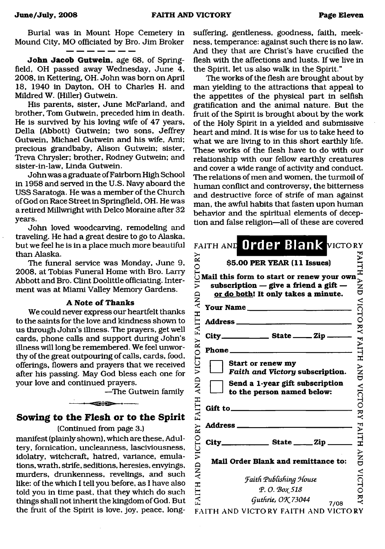Burial was in Mount Hope Cemetery in Mound City, MO officiated by Bro. Jim Broker

**John Jacob Gutwein,** age 68, of Springfield, OH passed away Wednesday, June 4, 2008, in Kettering, OH. John was born on April 18, 1940 in Dayton, OH to Charles H. and Mildred W. (Hiller) Gutwein.

His parents, sister, June McFarland, and brother, Tom Gutwein, preceded him in death. He is survived by his loving wife of 47 years, Della (Abbott) Gutwein; two sons, Jeffrey Gutwein, Michael Gutwein and his wife, Ami; precious grandbaby, Alison Gutwein; sister, Treva Chrysler; brother, Rodney Gutwein; and sister-in-law, Linda Gutwein.

John was a graduate of Fairborn High School in 1958 and served in the U.S. Navy aboard the USS Saratoga. He was a member of the Church of God on Race Street in Springfield, OH. He was a retired Millwright with Delco Moraine after 32 years.

John loved woodcarving, remodeling and traveling. He had a great desire to go to Alaska, but we feel he is in a place much more beautiful than Alaska.

The funeral service was Monday, June 9, 2008, at Tobias Funeral Home with Bro. Larry Abbott and Bro. Clint Doolittle officiating. Interment was at Miami Valley Memory Gardens.

#### **A Note of Thanks**

We could never express our heartfelt thanks to the saints for the love and kindness shown to us through John's illness. The prayers, get well cards, phone calls and support during John's illness will long be remembered. We feel unworthy of the great outpouring of calls, cards, food, offerings, flowers and prayers that we received after his passing. May God bless each one for your love and continued prayers.

—The Gutwein family

## **Sowing to the Flesh or to the Spirit**

 $-$  -  $-$ 

#### (Continued from page 3.)

manifest (plainly shown), which are these, Adultery, fornication, uncleanness, lasciviousness, idolatry, witchcraft, hatred, variance, emulations, wrath, strife, seditions, heresies, envyings, murders, drunkenness, revelings, and such like: of the which I tell you before, as I have also told you in time past, that they which do such things shall not inherit the kingdom of God. But the fruit of the Spirit is love, joy, peace, longsuffering, gentleness, goodness, faith, meekness, temperance: against such there is no law. And they that are Christ's have crucified the flesh with the affections and lusts. If we live in the Spirit, let us also walk in the Spirit."

The works of the flesh are brought about by man yielding to the attractions that appeal to the appetites of the physical part in selfish gratification and the animal nature. But the fruit of the Spirit is brought about by the work of the Holy Spirit in a yielded and submissive heart and mind. It is wise for us to take heed to what we are living to in this short earthly life. These works of the flesh have to do with our relationship with our fellow earthly creatures and cover a wide range of activity and conduct. The relations of men and women, the turmoil of human conflict and controversy, the bitterness and destructive force of strife of man against man, the awful habits that fasten upon human behavior and the spiritual elements of deception and false religion—all of these are covered

| ŘΧ                             | FAITH AND Order Blank VICTORY<br>\$5.00 PER YEAR (11 Issues)                                                                               | ALTH             |
|--------------------------------|--------------------------------------------------------------------------------------------------------------------------------------------|------------------|
| VICTO<br><b>AND</b>            | Mail this form to start or renew your own<br>subscription $-$ give a friend a gift $-$<br>or do both! It only takes a minute.<br>Your Name | ¥<br>ZD          |
| ITH<br>$\mathbf{F}$<br>VICTORY | Address ____                                                                                                                               | VICTORY          |
|                                | $City$ <sub>_____________</sub> State _____ Zip _                                                                                          |                  |
|                                | Phone_                                                                                                                                     | <b>FAITH</b>     |
|                                | Start or renew my<br>Faith and Victory subscription.                                                                                       | $\sum_{i=1}^{n}$ |
| AND                            | Send a 1-year gift subscription<br>to the person named below:                                                                              |                  |
| <b>FAITH</b>                   | Gift to_                                                                                                                                   |                  |
|                                | <b>Address</b> ___<br><b>Contract Contract</b>                                                                                             | VICTORY FAITH    |
|                                |                                                                                                                                            |                  |
| VICTORY<br><b>QNY</b>          | Mail Order Blank and remittance to:                                                                                                        | }<br>N<br>D      |
|                                | <b>Faith Publishing House</b>                                                                                                              | <b>VICTO</b>     |
| <b>HILIY</b>                   | Р. О. Вох 518                                                                                                                              |                  |
|                                | Guthrie, OK 73044<br>7/08                                                                                                                  | ₹                |